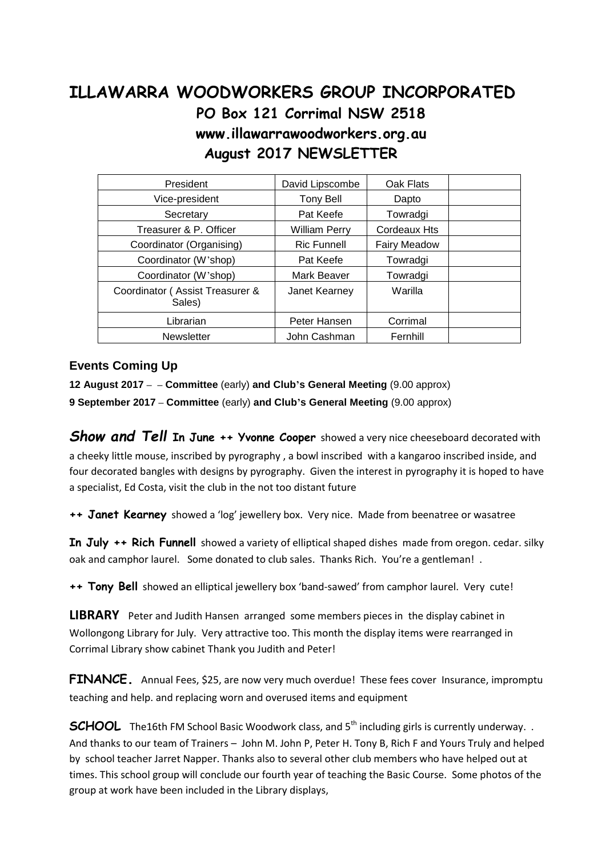## **ILLAWARRA WOODWORKERS GROUP INCORPORATED PO Box 121 Corrimal NSW 2518 www.illawarrawoodworkers.org.au August 2017 NEWSLETTER**

| President                                 | David Lipscombe      | Oak Flats           |  |
|-------------------------------------------|----------------------|---------------------|--|
| Vice-president                            | Tony Bell            | Dapto               |  |
| Secretary                                 | Pat Keefe            | Towradgi            |  |
| Treasurer & P. Officer                    | <b>William Perry</b> | Cordeaux Hts        |  |
| Coordinator (Organising)                  | <b>Ric Funnell</b>   | <b>Fairy Meadow</b> |  |
| Coordinator (W'shop)                      | Pat Keefe            | Towradgi            |  |
| Coordinator (W'shop)                      | Mark Beaver          | Towradgi            |  |
| Coordinator (Assist Treasurer &<br>Sales) | Janet Kearney        | Warilla             |  |
| Librarian                                 | Peter Hansen         | Corrimal            |  |
| <b>Newsletter</b>                         | John Cashman         | Fernhill            |  |

## **Events Coming Up**

**12 August 2017 – – Committee** (early) **and Club's General Meeting** (9.00 approx)

**9 September 2017 – Committee** (early) **and Club's General Meeting** (9.00 approx)

*Show and Tell* **In June ++ Yvonne Cooper** showed a very nice cheeseboard decorated with a cheeky little mouse, inscribed by pyrography , a bowl inscribed with a kangaroo inscribed inside, and four decorated bangles with designs by pyrography. Given the interest in pyrography it is hoped to have a specialist, Ed Costa, visit the club in the not too distant future

**++ Janet Kearney** showed a 'log' jewellery box. Very nice. Made from beenatree or wasatree

**In July ++ Rich Funnell** showed a variety of elliptical shaped dishes made from oregon. cedar. silky oak and camphor laurel. Some donated to club sales. Thanks Rich. You're a gentleman! .

**++ Tony Bell** showed an elliptical jewellery box 'band-sawed' from camphor laurel. Very cute!

**LIBRARY** Peter and Judith Hansen arranged some members pieces in the display cabinet in Wollongong Library for July. Very attractive too. This month the display items were rearranged in Corrimal Library show cabinet Thank you Judith and Peter!

**FINANCE**. Annual Fees, \$25, are now very much overdue! These fees cover Insurance, impromptu teaching and help. and replacing worn and overused items and equipment

**SCHOOL** The16th FM School Basic Woodwork class, and 5<sup>th</sup> including girls is currently underway.. And thanks to our team of Trainers – John M. John P, Peter H. Tony B, Rich F and Yours Truly and helped by school teacher Jarret Napper. Thanks also to several other club members who have helped out at times. This school group will conclude our fourth year of teaching the Basic Course. Some photos of the group at work have been included in the Library displays,